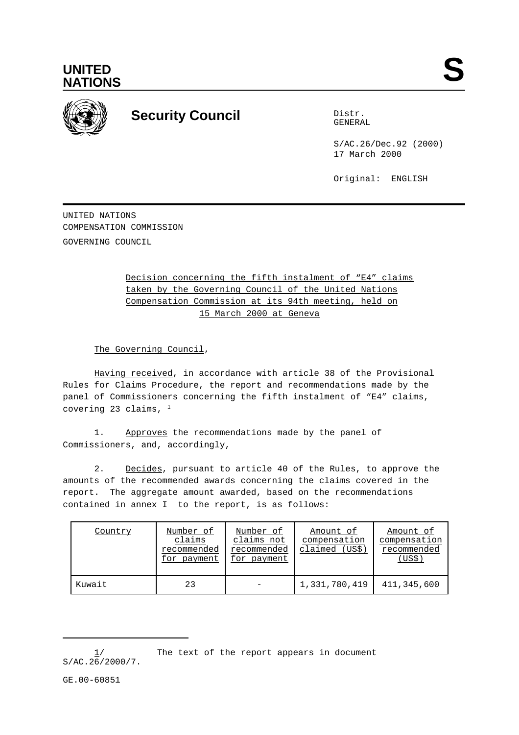



## **Security Council** Distribution Distribution

GENERAL

S/AC.26/Dec.92 (2000) 17 March 2000

Original: ENGLISH

UNITED NATIONS COMPENSATION COMMISSION GOVERNING COUNCIL

> Decision concerning the fifth instalment of "E4" claims taken by the Governing Council of the United Nations Compensation Commission at its 94th meeting, held on 15 March 2000 at Geneva

The Governing Council,

Having received, in accordance with article 38 of the Provisional Rules for Claims Procedure, the report and recommendations made by the panel of Commissioners concerning the fifth instalment of "E4" claims, covering 23 claims, 1

1. Approves the recommendations made by the panel of Commissioners, and, accordingly,

2. Decides, pursuant to article 40 of the Rules, to approve the amounts of the recommended awards concerning the claims covered in the report. The aggregate amount awarded, based on the recommendations contained in annex I to the report, is as follows:

| Country | Number of<br>claims<br>recommended<br>for payment | Number of<br>claims not<br>recommended<br>for payment | Amount of<br>compensation<br>claimed (US\$) | Amount of<br>compensation<br>recommended<br>(USS) |
|---------|---------------------------------------------------|-------------------------------------------------------|---------------------------------------------|---------------------------------------------------|
| Kuwait  | 23                                                |                                                       | 1,331,780,419                               | 411,345,600                                       |

 $1/$  The text of the report appears in document  $S/AC.26/2000/7.$ 

GE.00-60851